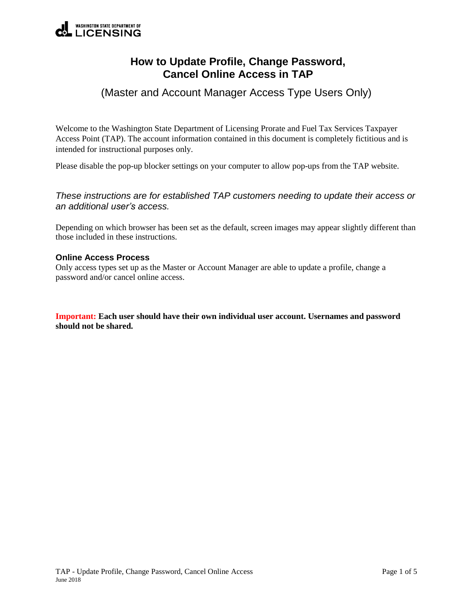

## **How to Update Profile, Change Password, Cancel Online Access in TAP**

(Master and Account Manager Access Type Users Only)

Welcome to the Washington State Department of Licensing Prorate and Fuel Tax Services Taxpayer Access Point (TAP). The account information contained in this document is completely fictitious and is intended for instructional purposes only.

Please disable the pop-up blocker settings on your computer to allow pop-ups from the TAP website.

#### *These instructions are for established TAP customers needing to update their access or an additional user's access.*

Depending on which browser has been set as the default, screen images may appear slightly different than those included in these instructions.

#### **Online Access Process**

Only access types set up as the Master or Account Manager are able to update a profile, change a password and/or cancel online access.

#### **Important: Each user should have their own individual user account. Usernames and password should not be shared.**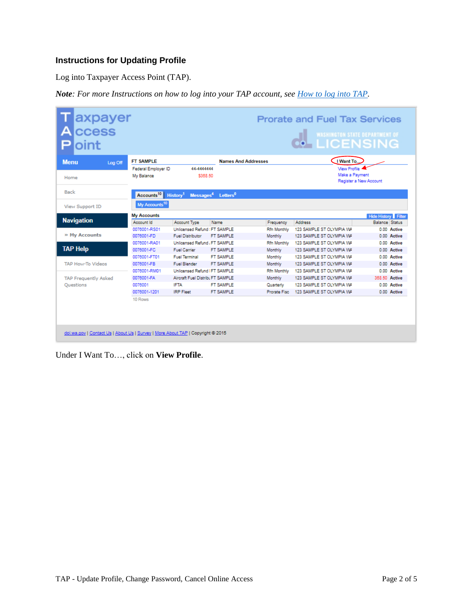### **Instructions for Updating Profile**

Log into Taxpayer Access Point (TAP).

*Note: For more Instructions on how to log into your TAP account, see [How to log into TAP.](http://www.dol.wa.gov/vehicleregistration/docs/TAP-how-to-log-into-tap.pdf)*

| <b>A</b> ccess<br>loint<br>P   |                                                       |                                                         |                                            |                        | <b>WASHINGTON STATE DEPARTMENT OF</b><br><b>.</b> LICENSING |                                          |                            |
|--------------------------------|-------------------------------------------------------|---------------------------------------------------------|--------------------------------------------|------------------------|-------------------------------------------------------------|------------------------------------------|----------------------------|
| <b>Menu</b><br>Log Off<br>Home | <b>FT SAMPLE</b><br>Federal Employer ID<br>My Balance | 44-4444444<br>\$368.50                                  | Names And Addresses                        |                        | I Want To<br>View Profile                                   | Make a Payment<br>Register a New Account |                            |
| Back                           | Accounts <sup>10</sup> History <sup>1</sup>           |                                                         | Messages <sup>4</sup> Letters <sup>0</sup> |                        |                                                             |                                          |                            |
| View Support ID                | My Accounts <sup>10</sup>                             |                                                         |                                            |                        |                                                             |                                          |                            |
| <b>Navigation</b>              | <b>My Accounts</b>                                    |                                                         |                                            |                        |                                                             | Hide History Filter                      |                            |
|                                | Account Id                                            | Account Type                                            | Name                                       | Frequency              | Address                                                     | <b>Balance Status</b>                    |                            |
| » My Accounts                  | 0076001-RS01<br>0076001-FD                            | Unlicensed Refund : FT SAMPLE                           |                                            | <b>Rfn Monthly</b>     | 123 SAMPLE ST OLYMPIA WA<br>123 SAMPLE ST OLYMPIA WA        |                                          | 0.00 Active                |
|                                | 0076001-RA01                                          | <b>Fuel Distributor</b><br>Unlicensed Refund, FT SAMPLE | <b>FT SAMPLE</b>                           | Monthly                | 123 SAMPLE ST OLYMPIA WA                                    |                                          | 0.00 Active<br>0.00 Active |
| <b>TAP Help</b>                | 0076001-FC                                            | <b>Fuel Carrier</b>                                     | <b>FT SAMPLE</b>                           | Rfn Monthly<br>Monthly | 123 SAMPLE ST OLYMPIA WA                                    |                                          | 0.00 Active                |
|                                | 0076001-FT01                                          | Fuel Terminal                                           | <b>FT SAMPLE</b>                           |                        | 123 SAMPLE ST OLYMPIA WA                                    |                                          | 0.00 Active                |
| <b>TAP How-To Videos</b>       | 0076001-FB                                            | Fuel Blender                                            | <b>FT SAMPLE</b>                           | Monthly<br>Monthly     | 123 SAMPLE ST OLYMPIA WA                                    |                                          | 0.00 Active                |
|                                | 0076001-RM01                                          | Unlicensed Refund IFT SAMPLE                            |                                            | Rfn Monthly            | 123 SAMPLE ST OLYMPIA WA                                    |                                          | 0.00 Active                |
|                                | 0076001-FA                                            | Aircraft Fuel DistribuFT SAMPLE                         |                                            | Monthly                | 123 SAMPLE ST OLYMPIA WA                                    | 388.50 Active                            |                            |
| <b>TAP Frequently Asked</b>    | 0076001                                               | <b>IFTA</b>                                             | <b>FT SAMPLE</b>                           |                        | 123 SAMPLE ST OLYMPIA WA                                    |                                          | 0.00 Active                |
|                                |                                                       |                                                         |                                            | Quarterly              | 123 SAMPLE ST OLYMPIA WA                                    | 0.00 Active                              |                            |
| Questions                      | 0076001-1201                                          | <b>IRP Fleet</b>                                        | <b>FT SAMPLE</b>                           | Prorate Fisc           |                                                             |                                          |                            |

Under I Want To…, click on **View Profile**.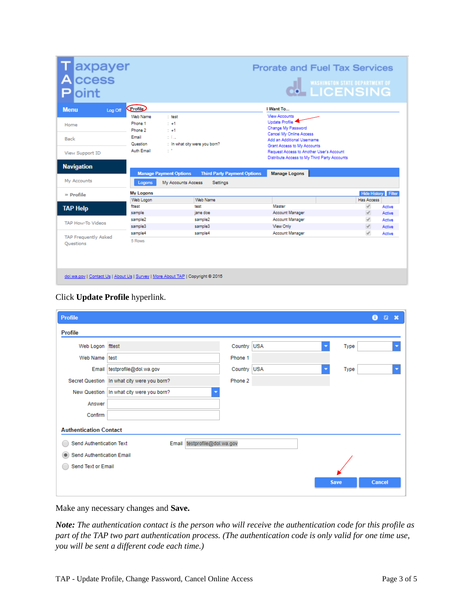| T axpayer<br>A ccess                                                            |                                                  |                                                  | <b>Prorate and Fuel Tax Services</b>                                                                                             | <b>WASHINGTON STATE DEPARTMENT OF</b>              |
|---------------------------------------------------------------------------------|--------------------------------------------------|--------------------------------------------------|----------------------------------------------------------------------------------------------------------------------------------|----------------------------------------------------|
| <b>P</b> loint                                                                  |                                                  |                                                  |                                                                                                                                  | <b>O. LICENSING</b>                                |
| <b>Menu</b><br>Log Off<br>Home                                                  | Profile<br>Web Name<br>Phone 1                   | : test<br>$1 - 41$                               | I Want To<br><b>View Accounts</b><br>Update Profile<br>Change My Password                                                        |                                                    |
| Back                                                                            | Phone 2<br>Email<br>Question<br>Auth Email<br>τł | $1 + 1$<br>t La<br>: In what city were you born? | Cancel My Online Access<br>Add an Additional Username<br>Grant Access to My Accounts<br>Request Access to Another User's Account |                                                    |
| View Support ID<br><b>Navigation</b>                                            | <b>Manage Payment Options</b>                    | <b>Third Party Payment Options</b>               | Distribute Access to My Third Party Accounts<br><b>Manage Logons</b>                                                             |                                                    |
| My Accounts                                                                     | Logons                                           | My Accounts Access<br>Settings                   |                                                                                                                                  |                                                    |
| » Profile                                                                       | <b>My Logons</b><br>Web Logon                    | Web Name                                         |                                                                                                                                  | <b>Hide History</b> Filter<br>Has Access           |
| <b>TAP Help</b>                                                                 | fitest<br>sample                                 | test<br>jane doe                                 | Master<br>Account Manager                                                                                                        | $\mathcal{A}$<br>Active<br>$\mathcal{A}$<br>Active |
| <b>TAP How-To Videos</b>                                                        | sample2<br>sample3                               | sample2<br>sample3                               | Account Manager<br>View Only                                                                                                     | $\mathcal{A}$<br>Active<br>$\mathcal{A}$<br>Active |
| <b>TAP Frequently Asked</b><br>Ouestions                                        | sample4<br>5 Rows                                | sample4                                          | Account Manager                                                                                                                  | s<br>Active                                        |
| dol.wa.gov   Contact Us   About Us   Survey   More About TAP   Copyright @ 2015 |                                                  |                                                  |                                                                                                                                  |                                                    |

Click **Update Profile** hyperlink.

| Profile                        |                                             |                              | A<br>$\mathcal{D}$<br>$\mathbf x$ |
|--------------------------------|---------------------------------------------|------------------------------|-----------------------------------|
| Profile                        |                                             |                              |                                   |
| Web Logon fittest              |                                             | Country USA                  | Type<br>۰<br>≂                    |
| Web Name test                  |                                             | Phone 1                      |                                   |
|                                | Email testprofile@dol.wa.gov                | Country USA                  | Type<br>▼                         |
|                                | Secret Question In what city were you born? | Phone 2                      |                                   |
|                                | New Question   In what city were you born?  |                              |                                   |
| Answer                         |                                             |                              |                                   |
| Confirm                        |                                             |                              |                                   |
| <b>Authentication Contact</b>  |                                             |                              |                                   |
| Send Authentication Text       |                                             | Email testprofile@dol.wa.gov |                                   |
| Send Authentication Email<br>۰ |                                             |                              |                                   |
| Send Text or Email             |                                             |                              |                                   |
|                                |                                             |                              | <b>Cancel</b><br><b>Save</b>      |
|                                |                                             |                              |                                   |

Make any necessary changes and **Save.**

*Note: The authentication contact is the person who will receive the authentication code for this profile as part of the TAP two part authentication process. (The authentication code is only valid for one time use, you will be sent a different code each time.)*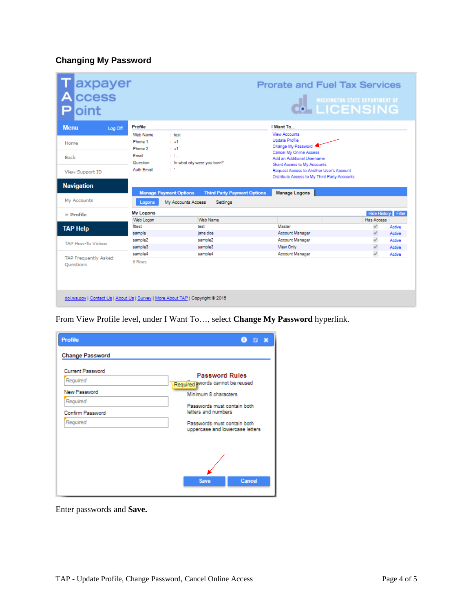# **Changing My Password**

| <b>T</b> axpayer<br><b>A</b> ccess<br>$\mathsf{Point}$                          |                                                                   |                                                                               | <b>Prorate and Fuel Tax Services</b>                                                                                                                                                                                                                    | <b>CO-LICENSING</b>        |
|---------------------------------------------------------------------------------|-------------------------------------------------------------------|-------------------------------------------------------------------------------|---------------------------------------------------------------------------------------------------------------------------------------------------------------------------------------------------------------------------------------------------------|----------------------------|
| <b>Menu</b><br>Log Off                                                          | Profile                                                           |                                                                               | I Want To                                                                                                                                                                                                                                               |                            |
| Home<br>Back<br>View Support ID                                                 | Web Name<br>Phone 1<br>Phone 2<br>Email<br>Question<br>Auth Email | : test<br>$1 + 1$<br>$1 + 1$<br>t La<br>: In what city were you born?<br>is f | <b>View Accounts</b><br><b>Undate Profile</b><br>Change My Password<br>Cancel My Online Access<br>Add an Additional Username<br>Grant Access to My Accounts<br>Request Access to Another User's Account<br>Distribute Access to My Third Party Accounts |                            |
| <b>Navigation</b><br>My Accounts                                                | <b>Manage Payment Options</b><br>Logons                           | <b>Third Party Payment Options</b><br>My Accounts Access<br>Settings          | <b>Manage Logons</b>                                                                                                                                                                                                                                    |                            |
| » Profile                                                                       | <b>My Logons</b>                                                  |                                                                               |                                                                                                                                                                                                                                                         | <b>Hide History</b> Filter |
|                                                                                 | Web Logon                                                         | Web Name                                                                      |                                                                                                                                                                                                                                                         | Has Access                 |
| <b>TAP Help</b>                                                                 | fttest                                                            | test                                                                          | Master                                                                                                                                                                                                                                                  | Active                     |
|                                                                                 | sample                                                            | jane doe                                                                      | Account Manager                                                                                                                                                                                                                                         | s<br>Active                |
| <b>TAP How-To Videos</b>                                                        | sample2                                                           | sample2                                                                       | Account Manager                                                                                                                                                                                                                                         | $\mathcal{A}$<br>Active    |
|                                                                                 | sample3                                                           | sample3                                                                       | View Only                                                                                                                                                                                                                                               | $\mathcal{A}$<br>Active    |
| <b>TAP Frequently Asked</b><br>Ouestions                                        | sample4<br>5 Rows                                                 | sample4                                                                       | Account Manager                                                                                                                                                                                                                                         | s<br>Active                |
| dol.wa.gov   Contact Us   About Us   Survey   More About TAP   Copyright @ 2015 |                                                                   |                                                                               |                                                                                                                                                                                                                                                         |                            |

From View Profile level, under I Want To…, select **Change My Password** hyperlink.

| <b>Profile</b>                                                                                  | A<br>- 12<br>$\mathbf{\mathbf{x}}$                                                                                                                                                                        |
|-------------------------------------------------------------------------------------------------|-----------------------------------------------------------------------------------------------------------------------------------------------------------------------------------------------------------|
| <b>Change Password</b>                                                                          |                                                                                                                                                                                                           |
| <b>Current Password</b><br>Required<br>New Password<br>Required<br>Confirm Password<br>Required | <b>Password Rules</b><br>Required Ewords cannot be reused<br>Minimum 8 characters<br>Passwords must contain both<br>letters and numbers<br>Passwords must contain both<br>uppercase and lowercase letters |
|                                                                                                 | <b>Cancel</b><br><b>Save</b>                                                                                                                                                                              |

Enter passwords and **Save.**